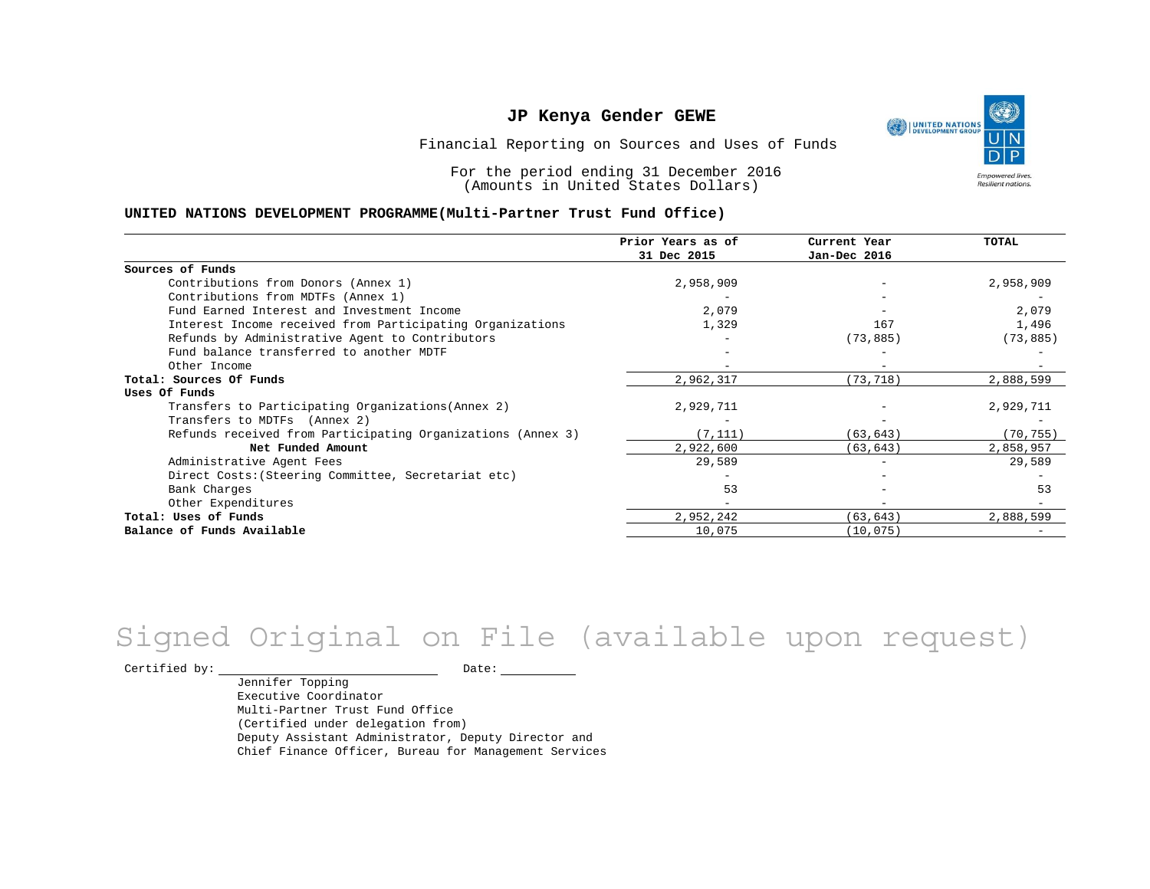UNITED NATIONS **Empowered lives** Resilient nations.

Financial Reporting on Sources and Uses of Funds

For the period ending 31 December 2016 (Amounts in United States Dollars)

#### **UNITED NATIONS DEVELOPMENT PROGRAMME(Multi-Partner Trust Fund Office)**

|                                                             | Prior Years as of | Current Year | <b>TOTAL</b> |
|-------------------------------------------------------------|-------------------|--------------|--------------|
|                                                             | 31 Dec 2015       | Jan-Dec 2016 |              |
| Sources of Funds                                            |                   |              |              |
| Contributions from Donors (Annex 1)                         | 2,958,909         |              | 2,958,909    |
| Contributions from MDTFs (Annex 1)                          |                   |              |              |
| Fund Earned Interest and Investment Income                  | 2,079             |              | 2,079        |
| Interest Income received from Participating Organizations   | 1,329             | 167          | 1,496        |
| Refunds by Administrative Agent to Contributors             |                   | (73, 885)    | (73, 885)    |
| Fund balance transferred to another MDTF                    |                   |              |              |
| Other Income                                                |                   |              |              |
| Total: Sources Of Funds                                     | 2,962,317         | (73, 718)    | 2,888,599    |
| Uses Of Funds                                               |                   |              |              |
| Transfers to Participating Organizations (Annex 2)          | 2,929,711         |              | 2,929,711    |
| Transfers to MDTFs (Annex 2)                                |                   |              |              |
| Refunds received from Participating Organizations (Annex 3) | (7, 111)          | (63, 643)    | (70, 755)    |
| Net Funded Amount                                           | 2,922,600         | (63, 643)    | 2,858,957    |
| Administrative Agent Fees                                   | 29,589            | $-$          | 29,589       |
| Direct Costs: (Steering Committee, Secretariat etc)         |                   |              |              |
| Bank Charges                                                | 53                |              | 53           |
| Other Expenditures                                          |                   |              |              |
| Total: Uses of Funds                                        | 2,952,242         | (63, 643)    | 2,888,599    |
| Balance of Funds Available                                  | 10,075            | (10, 075)    |              |

# Signed Original on File (available upon request)

Certified by: Date:

Jennifer Topping Executive Coordinator Multi-Partner Trust Fund Office (Certified under delegation from) Deputy Assistant Administrator, Deputy Director and Chief Finance Officer, Bureau for Management Services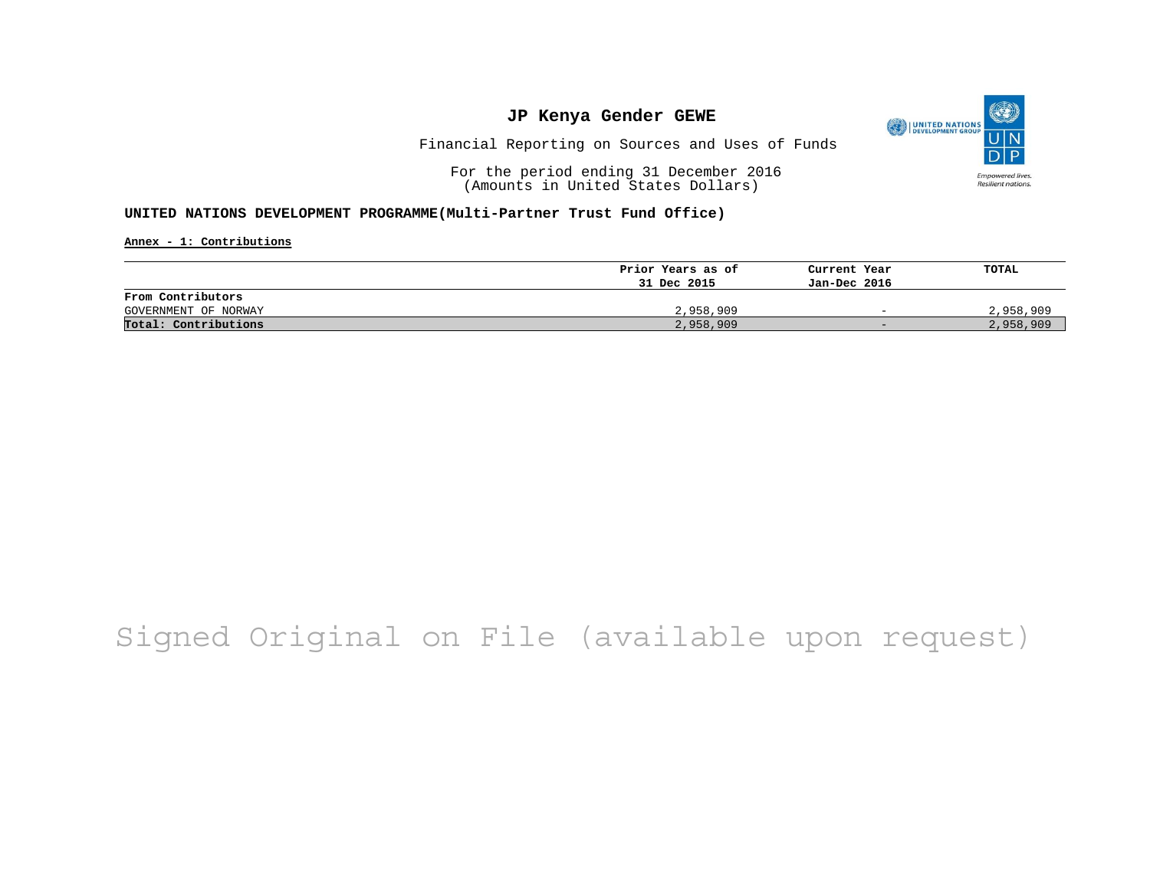

Financial Reporting on Sources and Uses of Funds

For the period ending 31 December 2016 (Amounts in United States Dollars)

### **UNITED NATIONS DEVELOPMENT PROGRAMME(Multi-Partner Trust Fund Office)**

**Annex - 1: Contributions**

|                      | Prior Years as of | Current Year             | TOTAL     |
|----------------------|-------------------|--------------------------|-----------|
|                      | 31 Dec 2015       | Jan-Dec 2016             |           |
| From Contributors    |                   |                          |           |
| GOVERNMENT OF NORWAY | 2,958,909         | $\overline{\phantom{0}}$ | 2,958,909 |
| Total: Contributions | 2,958,909         | $-$                      | 2,958,909 |

## Signed Original on File (available upon request)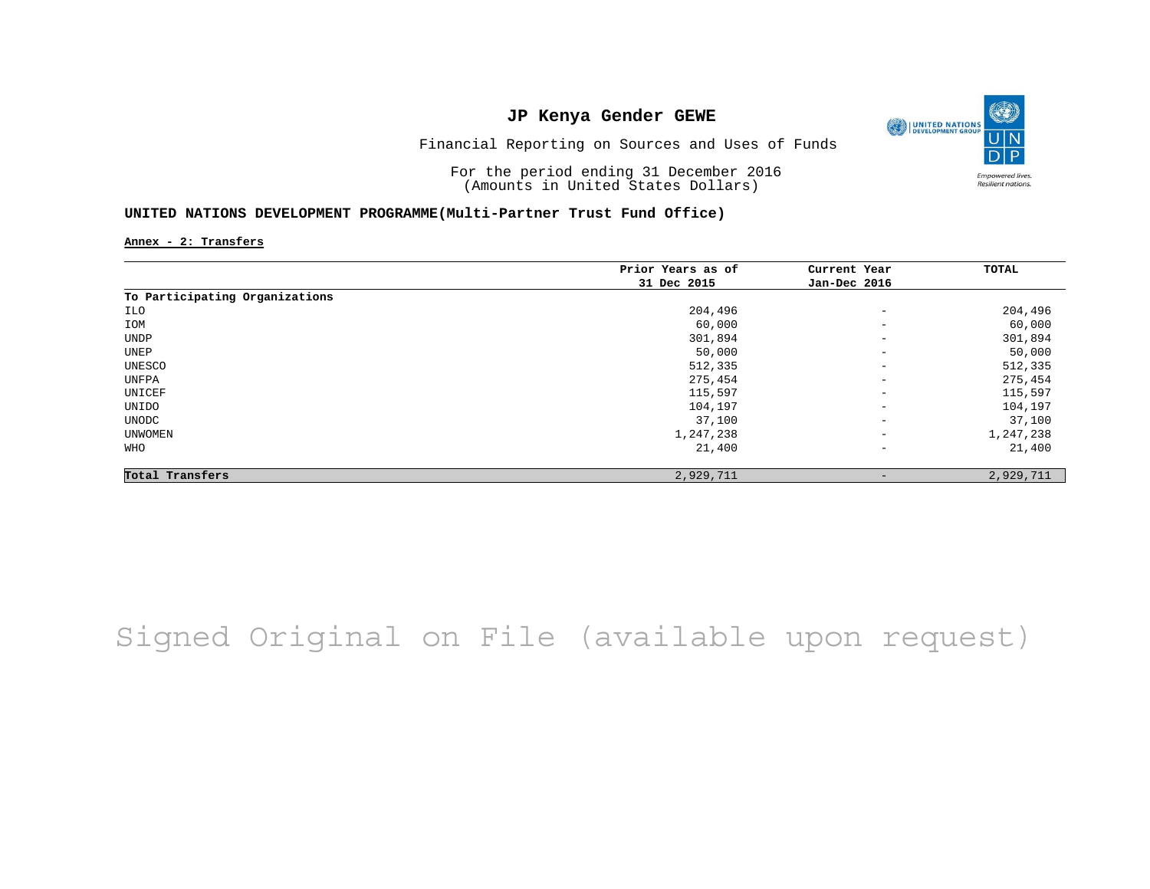

Financial Reporting on Sources and Uses of Funds

For the period ending 31 December 2016 (Amounts in United States Dollars)

### **UNITED NATIONS DEVELOPMENT PROGRAMME(Multi-Partner Trust Fund Office)**

**Annex - 2: Transfers**

|                                | Prior Years as of | Current Year             | TOTAL     |
|--------------------------------|-------------------|--------------------------|-----------|
|                                | 31 Dec 2015       | Jan-Dec 2016             |           |
| To Participating Organizations |                   |                          |           |
| ILO                            | 204,496           | $\qquad \qquad -$        | 204,496   |
| IOM                            | 60,000            | $\overline{\phantom{a}}$ | 60,000    |
| UNDP                           | 301,894           | $\overline{\phantom{a}}$ | 301,894   |
| UNEP                           | 50,000            | $\overline{\phantom{m}}$ | 50,000    |
| UNESCO                         | 512,335           | $\overline{\phantom{a}}$ | 512,335   |
| UNFPA                          | 275,454           | $\qquad \qquad -$        | 275,454   |
| UNICEF                         | 115,597           | $\qquad \qquad -$        | 115,597   |
| UNIDO                          | 104,197           | $\overline{\phantom{m}}$ | 104,197   |
| UNODC                          | 37,100            | $\overline{\phantom{a}}$ | 37,100    |
| UNWOMEN                        | 1,247,238         | $\overline{\phantom{a}}$ | 1,247,238 |
| WHO                            | 21,400            | $\qquad \qquad -$        | 21,400    |
| Total Transfers                | 2,929,711         | $\qquad \qquad -$        | 2,929,711 |

Signed Original on File (available upon request)